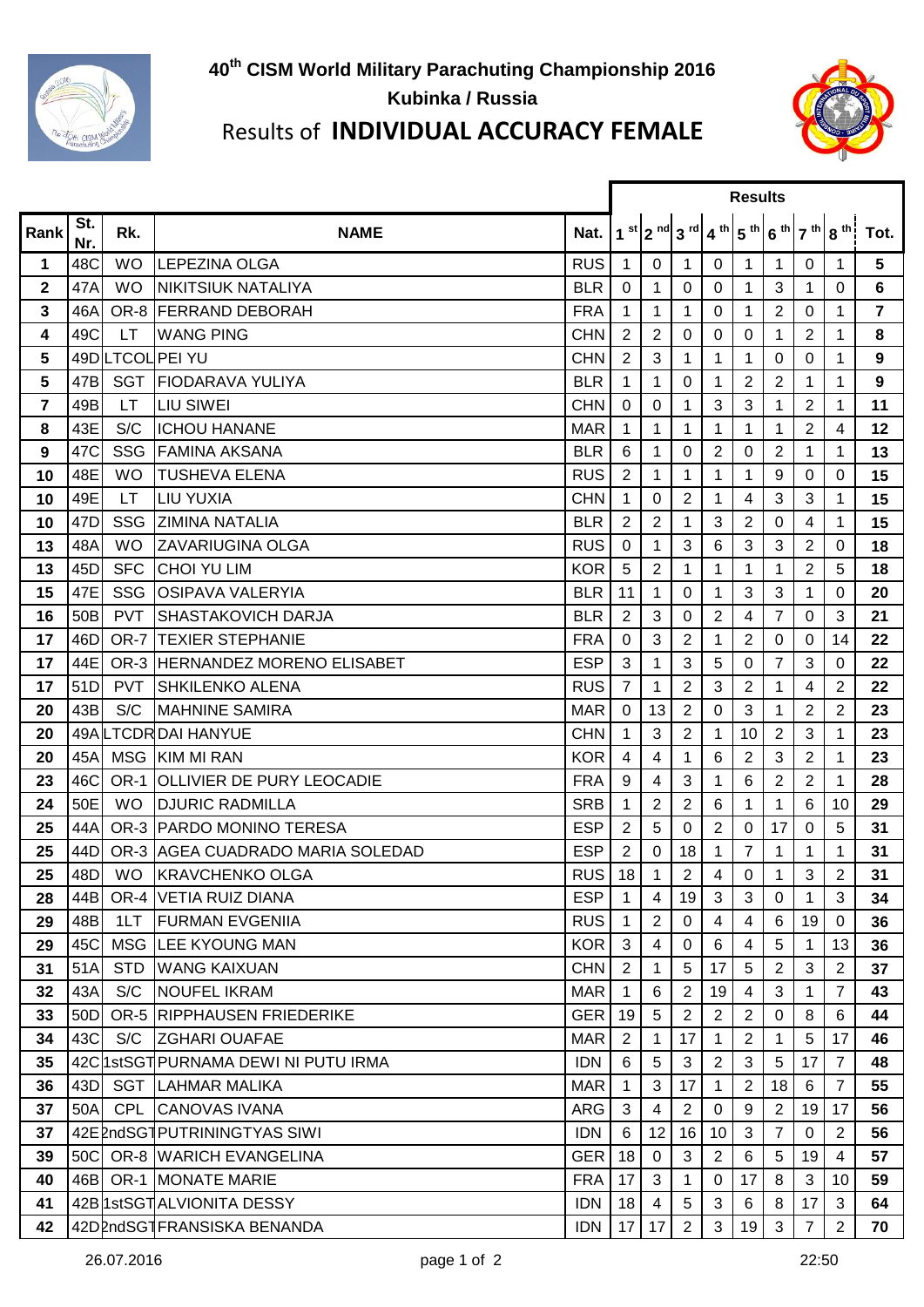



## Results of **INDIVIDUAL ACCURACY FEMALE**

|                |                 |            |                                      |            | <b>Results</b> |                |                |                |                |                |                |                |                                                                  |  |
|----------------|-----------------|------------|--------------------------------------|------------|----------------|----------------|----------------|----------------|----------------|----------------|----------------|----------------|------------------------------------------------------------------|--|
| Rank           | St.<br>Nr.      | Rk.        | <b>NAME</b>                          | Nat.       |                |                |                |                |                |                |                |                | $1$ st $2$ nd $3$ rd $4$ th $5$ th $6$ th $7$ th $8$ th $7$ Tot. |  |
| 1              | 48C             | <b>WO</b>  | <b>LEPEZINA OLGA</b>                 | <b>RUS</b> | 1              | 0              | 1              | 0              | 1.             | 1              | 0              | 1              | 5                                                                |  |
| $\overline{2}$ | 47A             | <b>WO</b>  | <b>NIKITSIUK NATALIYA</b>            | <b>BLR</b> | 0              | 1              | $\Omega$       | 0              | 1              | 3              | 1              | $\Omega$       | 6                                                                |  |
| 3              | 46A             |            | OR-8 FERRAND DEBORAH                 | <b>FRA</b> | 1              | 1              | 1              | 0              | 1              | 2              | 0              |                | 7                                                                |  |
| 4              | 49C             | LT.        | <b>WANG PING</b>                     | <b>CHN</b> | $\overline{2}$ | $\overline{2}$ | 0              | 0              | 0              | 1              | $\overline{2}$ | 1              | 8                                                                |  |
| 5              |                 |            | 49DILTCOL PEI YU                     | <b>CHN</b> | 2              | 3              | 1              | 1              | 1              | 0              | 0              | 1              | 9                                                                |  |
| 5              | 47B             |            | SGT FIODARAVA YULIYA                 | <b>BLR</b> | 1              | 1              | 0              | 1              | $\overline{2}$ | $\overline{2}$ | 1              | 1              | 9                                                                |  |
| 7              | 49B             | LT.        | <b>LIU SIWEI</b>                     | <b>CHN</b> | 0              | 0              | 1              | 3              | 3              | 1              | 2              |                | 11                                                               |  |
| 8              | 43E             | S/C        | <b>ICHOU HANANE</b>                  | <b>MAR</b> | 1              | 1              | 1              | 1              | 1              | 1              | $\overline{2}$ | 4              | 12                                                               |  |
| 9              | 47C             | <b>SSG</b> | <b>FAMINA AKSANA</b>                 | <b>BLR</b> | 6              | 1              | 0              | 2              | $\mathbf 0$    | $\overline{2}$ | 1              | 1              | 13                                                               |  |
| 10             | 48E             | <b>WO</b>  | <b>TUSHEVA ELENA</b>                 | <b>RUS</b> | 2              | 1              | 1              | 1              | 1              | 9              | $\Omega$       | 0              | 15                                                               |  |
| 10             | 49E             | LT.        | <b>LIU YUXIA</b>                     | <b>CHN</b> | 1              | 0              | 2              | 1              | 4              | 3              | 3              | 1              | 15                                                               |  |
| 10             | 47 <sub>D</sub> | <b>SSG</b> | <b>ZIMINA NATALIA</b>                | <b>BLR</b> | $\overline{2}$ | $\overline{2}$ | 1              | 3              | $\overline{2}$ | $\mathbf 0$    | 4              | 1              | 15                                                               |  |
| 13             | 48A             | <b>WO</b>  | <b>ZAVARIUGINA OLGA</b>              | <b>RUS</b> | 0              | $\mathbf{1}$   | $\sqrt{3}$     | 6              | 3              | 3              | 2              | 0              | 18                                                               |  |
| 13             | 45D             | <b>SFC</b> | <b>CHOI YU LIM</b>                   | <b>KOR</b> | 5              | $\overline{2}$ | 1              | $\mathbf{1}$   | 1              | 1              | $\overline{2}$ | 5              | 18                                                               |  |
| 15             | 47E             | <b>SSG</b> | <b>OSIPAVA VALERYIA</b>              | <b>BLR</b> | 11             | $\mathbf 1$    | 0              | 1              | 3              | 3              | 1              | 0              | 20                                                               |  |
| 16             | 50 <sub>B</sub> | <b>PVT</b> | <b>SHASTAKOVICH DARJA</b>            | <b>BLR</b> | $\overline{2}$ | 3              | 0              | $\overline{2}$ | 4              | $\overline{7}$ | 0              | 3              | 21                                                               |  |
| 17             | 46D             |            | OR-7 TEXIER STEPHANIE                | <b>FRA</b> | 0              | 3              | $\overline{2}$ | 1              | $\overline{2}$ | 0              | 0              | 14             | 22                                                               |  |
| 17             | 44E             |            | OR-3 HERNANDEZ MORENO ELISABET       | <b>ESP</b> | 3              | 1              | 3              | 5              | 0              | 7              | 3              | 0              | 22                                                               |  |
| 17             | 51D             | <b>PVT</b> | <b>SHKILENKO ALENA</b>               | <b>RUS</b> | $\overline{7}$ | 1              | $\overline{2}$ | 3              | $\overline{2}$ | 1              | 4              | 2              | 22                                                               |  |
| 20             | 43B             | S/C        | <b>MAHNINE SAMIRA</b>                | <b>MAR</b> | 0              | 13             | $\overline{2}$ | 0              | 3              | 1              | 2              | $\overline{2}$ | 23                                                               |  |
| 20             |                 |            | 49ALTCDRDAI HANYUE                   | <b>CHN</b> | 1              | 3              | 2              | 1              | 10             | 2              | 3              | 1              | 23                                                               |  |
| 20             | 45A             |            | MSG KIM MI RAN                       | <b>KOR</b> | 4              | 4              | 1              | 6              | $\overline{2}$ | 3              | 2              | 1              | 23                                                               |  |
| 23             | 46C             |            | OR-1 OLLIVIER DE PURY LEOCADIE       | <b>FRA</b> | 9              | 4              | 3              | 1              | 6              | 2              | 2              | 1              | 28                                                               |  |
| 24             | 50E             | <b>WO</b>  | <b>DJURIC RADMILLA</b>               | <b>SRB</b> |                | $\overline{2}$ | $\overline{2}$ | 6              | 1              | 1              | 6              | 10             | 29                                                               |  |
| 25             | 44A             |            | OR-3 PARDO MONINO TERESA             | <b>ESP</b> | 2              | 5              | 0              | $\overline{2}$ | $\mathbf 0$    | 17             | $\Omega$       | 5              | 31                                                               |  |
| 25             | 44D             |            | OR-3 AGEA CUADRADO MARIA SOLEDAD     | <b>ESP</b> | 2              | 0              | 18             | 1              | 7              | 1              |                |                | 31                                                               |  |
| 25             |                 |            | 48D WO KRAVCHENKO OLGA               | <b>RUS</b> | 18             | 1              | $\overline{2}$ | 4              | $\mathbf 0$    | 1              | 3              | $\overline{2}$ | 31                                                               |  |
| 28             | 44BI            |            | OR-4   VETIA RUIZ DIANA              | <b>ESP</b> | 1              | 4              | 19             | 3              | 3              | 0              | 1              | 3              | 34                                                               |  |
| 29             | 48B             | 1LT        | <b>IFURMAN EVGENIIA</b>              | <b>RUS</b> |                | $\overline{2}$ | $\Omega$       | 4              | 4              | 6              | 19             | 0              | 36                                                               |  |
| 29             | 45C             | MSG        | <b>ILEE KYOUNG MAN</b>               | <b>KOR</b> | 3              | 4              | 0              | 6              | 4              | 5              | 1              | 13             | 36                                                               |  |
| 31             | 51A             | <b>STD</b> | <b>WANG KAIXUAN</b>                  | <b>CHN</b> | 2              | $\mathbf 1$    | 5              | 17             | 5              | 2              | 3              | 2              | 37                                                               |  |
| 32             | 43A             | S/C        | <b>NOUFEL IKRAM</b>                  | <b>MAR</b> |                | 6              | 2              | 19             | 4              | 3              | 1              | 7              | 43                                                               |  |
| 33             | 50 <sub>D</sub> |            | OR-5 RIPPHAUSEN FRIEDERIKE           | <b>GER</b> | 19             | 5              | $\overline{2}$ | $\overline{2}$ | $\overline{2}$ | 0              | 8              | 6              | 44                                                               |  |
| 34             | 43C             | S/C        | <b>IZGHARI OUAFAE</b>                | <b>MAR</b> | 2              | 1.             | 17             | 1              | $\overline{2}$ | 1.             | 5              | 17             | 46                                                               |  |
| 35             |                 |            | 42Cl1stSGT PURNAMA DEWI NI PUTU IRMA | <b>IDN</b> | 6              | 5              | 3              | $\overline{2}$ | 3              | 5              | 17             | $\overline{7}$ | 48                                                               |  |
| 36             | 43D             | SGT        | LAHMAR MALIKA                        | <b>MAR</b> | 1              | 3              | 17             | $\mathbf 1$    | $\overline{2}$ | 18             | 6              | 7              | 55                                                               |  |
| 37             | 50A             | <b>CPL</b> | <b>CANOVAS IVANA</b>                 | ARG        | 3              | $\overline{4}$ | $\overline{2}$ | $\mathbf 0$    | 9              | $\overline{2}$ | 19             | 17             | 56                                                               |  |
| 37             |                 |            | 42EPndSGTPUTRININGTYAS SIWI          | <b>IDN</b> | 6              | 12             | 16             | 10             | 3              | 7              | $\mathbf{0}$   | $\overline{2}$ | 56                                                               |  |
| 39             | 50C             |            | OR-8 WARICH EVANGELINA               | <b>GER</b> | 18             | $\mathbf 0$    | 3              | $\overline{2}$ | 6              | 5              | 19             | 4              | 57                                                               |  |
| 40             |                 |            | 46B OR-1 MONATE MARIE                | <b>FRA</b> | 17             | 3              | 1              | 0              | 17             | 8              | 3              | 10             | 59                                                               |  |
| 41             |                 |            | 42B 1stSGT ALVIONITA DESSY           | <b>IDN</b> | 18             | 4              | 5              | 3              | 6              | 8              | 17             | 3              | 64                                                               |  |
| 42             |                 |            | 42DPndSG1FRANSISKA BENANDA           | <b>IDN</b> | 17             | 17             | $\overline{2}$ | 3              | 19             | 3              | $\overline{7}$ | $\overline{2}$ | 70                                                               |  |